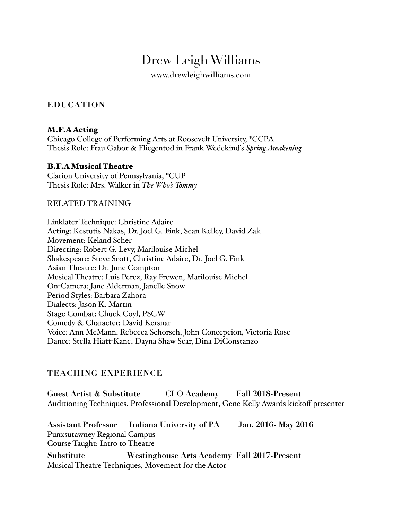# Drew Leigh Williams

www.drewleighwilliams.com

# **EDUCATION**

#### M.F.A Acting

Chicago College of Performing Arts at Roosevelt University, \*CCPA Thesis Role: Frau Gabor & Fliegentod in Frank Wedekind's *Spring Awakening* 

#### B.F.A Musical Theatre

Clarion University of Pennsylvania, \*CUP Thesis Role: Mrs. Walker in *The Who's Tommy* 

#### RELATED TRAINING

Linklater Technique: Christine Adaire Acting: Kestutis Nakas, Dr. Joel G. Fink, Sean Kelley, David Zak Movement: Keland Scher Directing: Robert G. Levy, Marilouise Michel Shakespeare: Steve Scott, Christine Adaire, Dr. Joel G. Fink Asian Theatre: Dr. June Compton Musical Theatre: Luis Perez, Ray Frewen, Marilouise Michel On-Camera: Jane Alderman, Janelle Snow Period Styles: Barbara Zahora Dialects: Jason K. Martin Stage Combat: Chuck Coyl, PSCW Comedy & Character: David Kersnar Voice: Ann McMann, Rebecca Schorsch, John Concepcion, Victoria Rose Dance: Stella Hiatt-Kane, Dayna Shaw Sear, Dina DiConstanzo

#### **TEACHING EXPERIENCE**

**Guest Artist & Substitute CLO Academy Fall 2018-Present** Auditioning Techniques, Professional Development, Gene Kelly Awards kickoff presenter

**Assistant Professor Indiana University of PA Jan. 2016- May 2016** Punxsutawney Regional Campus Course Taught: Intro to Theatre **Substitute Westinghouse Arts Academy Fall 2017-Present**

Musical Theatre Techniques, Movement for the Actor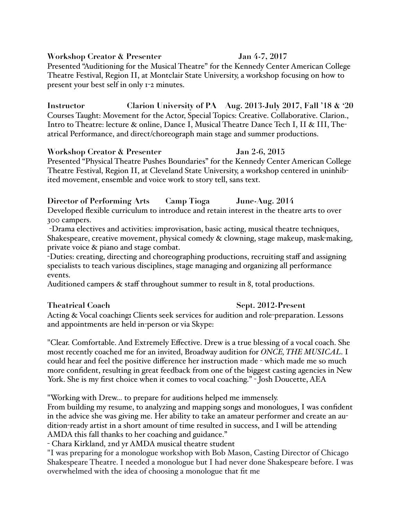**Workshop Creator & Presenter Jan 4-7, 2017**

Presented "Auditioning for the Musical Theatre" for the Kennedy Center American College Theatre Festival, Region II, at Montclair State University, a workshop focusing on how to present your best self in only 1-2 minutes.

**Instructor Clarion University of PA Aug. 2013-July 2017, Fall '18 & '20** Courses Taught: Movement for the Actor, Special Topics: Creative. Collaborative. Clarion., Intro to Theatre: lecture & online, Dance I, Musical Theatre Dance Tech I, II & III, Theatrical Performance, and direct/choreograph main stage and summer productions.

#### **Workshop Creator & Presenter Jan 2-6, 2015**

Presented "Physical Theatre Pushes Boundaries" for the Kennedy Center American College Theatre Festival, Region II, at Cleveland State University, a workshop centered in uninhibited movement, ensemble and voice work to story tell, sans text.

# **Director of Performing Arts Camp Tioga June-Aug. 2014**

Developed flexible curriculum to introduce and retain interest in the theatre arts to over 300 campers.

-Drama electives and activities: improvisation, basic acting, musical theatre techniques, Shakespeare, creative movement, physical comedy & clowning, stage makeup, mask-making, private voice & piano and stage combat.

-Duties: creating, directing and choreographing productions, recruiting staff and assigning specialists to teach various disciplines, stage managing and organizing all performance events.

Auditioned campers & staff throughout summer to result in 8, total productions.

**Theatrical Coach Sept. 2012-Present** Acting & Vocal coaching: Clients seek services for audition and role-preparation. Lessons and appointments are held in-person or via Skype:

"Clear. Comfortable. And Extremely Effective. Drew is a true blessing of a vocal coach. She most recently coached me for an invited, Broadway audition for *ONCE, THE MUSICAL*. I could hear and feel the positive difference her instruction made - which made me so much more confident, resulting in great feedback from one of the biggest casting agencies in New York. She is my first choice when it comes to vocal coaching." - Josh Doucette, AEA

"Working with Drew… to prepare for auditions helped me immensely.

From building my resume, to analyzing and mapping songs and monologues, I was confident in the advice she was giving me. Her ability to take an amateur performer and create an audition-ready artist in a short amount of time resulted in success, and I will be attending AMDA this fall thanks to her coaching and guidance."

- Chara Kirkland, 2nd yr AMDA musical theatre student

"I was preparing for a monologue workshop with Bob Mason, Casting Director of Chicago Shakespeare Theatre. I needed a monologue but I had never done Shakespeare before. I was overwhelmed with the idea of choosing a monologue that fit me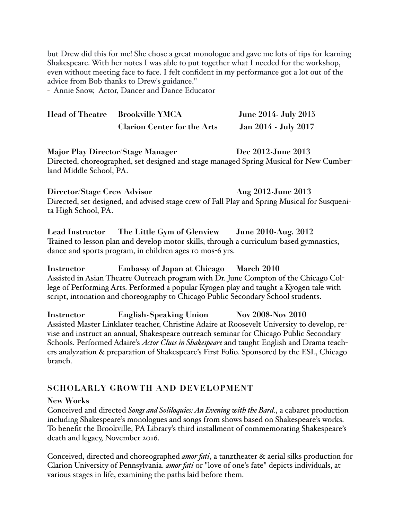but Drew did this for me! She chose a great monologue and gave me lots of tips for learning Shakespeare. With her notes I was able to put together what I needed for the workshop, even without meeting face to face. I felt confident in my performance got a lot out of the advice from Bob thanks to Drew's guidance."

- Annie Snow, Actor, Dancer and Dance Educator

| Head of Theatre Brookville YMCA    | <b>June 2014- July 2015</b> |
|------------------------------------|-----------------------------|
| <b>Clarion Center for the Arts</b> | Jan 2014 - July 2017        |

**Major Play Director/Stage Manager Dec 2012-June 2013** Directed, choreographed, set designed and stage managed Spring Musical for New Cumberland Middle School, PA.

**Director/Stage Crew Advisor Aug 2012-June 2013** Directed, set designed, and advised stage crew of Fall Play and Spring Musical for Susquenita High School, PA.

**Lead Instructor The Little Gym of Glenview June 2010-Aug. 2012** Trained to lesson plan and develop motor skills, through a curriculum-based gymnastics, dance and sports program, in children ages 10 mos-6 yrs.

**Instructor Embassy of Japan at Chicago March 2010** Assisted in Asian Theatre Outreach program with Dr. June Compton of the Chicago College of Performing Arts. Performed a popular Kyogen play and taught a Kyogen tale with script, intonation and choreography to Chicago Public Secondary School students.

**Instructor English-Speaking Union Nov 2008-Nov 2010** Assisted Master Linklater teacher, Christine Adaire at Roosevelt University to develop, revise and instruct an annual, Shakespeare outreach seminar for Chicago Public Secondary Schools. Performed Adaire's *Actor Clues in Shakespeare* and taught English and Drama teachers analyzation & preparation of Shakespeare's First Folio. Sponsored by the ESL, Chicago branch.

#### **SCHOLARLY GROWTH AND DEVELOPMENT**

#### **New Works**

Conceived and directed *Songs and Soliloquies: An Evening with the Bard.*, a cabaret production including Shakespeare's monologues and songs from shows based on Shakespeare's works. To benefit the Brookville, PA Library's third installment of commemorating Shakespeare's death and legacy, November 2016.

Conceived, directed and choreographed *amor fati*, a tanztheater & aerial silks production for Clarion University of Pennsylvania. *amor fati* or "love of one's fate" depicts individuals, at various stages in life, examining the paths laid before them.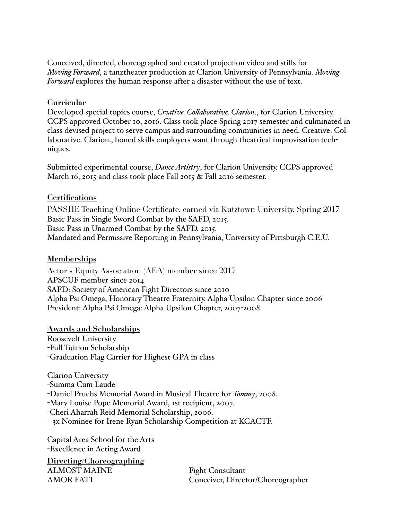Conceived, directed, choreographed and created projection video and stills for *Moving Forward*, a tanztheater production at Clarion University of Pennsylvania. *Moving Forward* explores the human response after a disaster without the use of text.

#### **Curricular**

Developed special topics course, *Creative. Collaborative. Clarion*., for Clarion University. CCPS approved October 10, 2016. Class took place Spring 2017 semester and culminated in class devised project to serve campus and surrounding communities in need. Creative. Collaborative. Clarion., honed skills employers want through theatrical improvisation techniques.

Submitted experimental course, *Dance Artistry*, for Clarion University. CCPS approved March 16, 2015 and class took place Fall 2015 & Fall 2016 semester.

#### **Certifications**

PASSHE Teaching Online Certificate, earned via Kutztown University, Spring 2017 Basic Pass in Single Sword Combat by the SAFD, 2015. Basic Pass in Unarmed Combat by the SAFD, 2015. Mandated and Permissive Reporting in Pennsylvania, University of Pittsburgh C.E.U.

#### **Memberships**

Actor's Equity Association (AEA) member since 2017 APSCUF member since 2014 SAFD: Society of American Fight Directors since 2010 Alpha Psi Omega, Honorary Theatre Fraternity, Alpha Upsilon Chapter since 2006 President: Alpha Psi Omega: Alpha Upsilon Chapter, 2007-2008

**Awards and Scholarships** Roosevelt University -Full Tuition Scholarship -Graduation Flag Carrier for Highest GPA in class

Clarion University -Summa Cum Laude -Daniel Pruehs Memorial Award in Musical Theatre for *Tommy*, 2008. -Mary Louise Pope Memorial Award, 1st recipient, 2007. -Cheri Aharrah Reid Memorial Scholarship, 2006. - 3x Nominee for Irene Ryan Scholarship Competition at KCACTF.

Capital Area School for the Arts -Excellence in Acting Award

**Directing/Choreographing** ALMOST MAINE Fight Consultant

AMOR FATI Conceiver, Director/Choreographer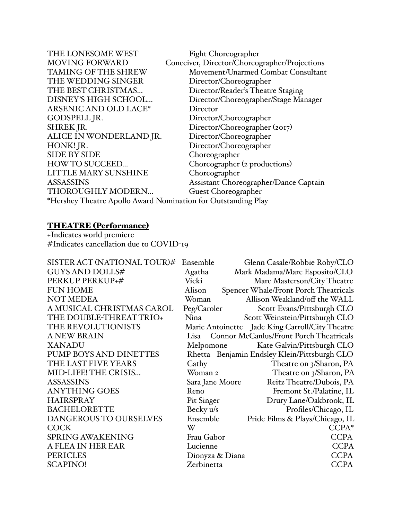| THE LONESOME WEST                                             | <b>Fight Choreographer</b>                    |  |  |
|---------------------------------------------------------------|-----------------------------------------------|--|--|
| <b>MOVING FORWARD</b>                                         | Conceiver, Director/Choreographer/Projections |  |  |
| TAMING OF THE SHREW                                           | Movement/Unarmed Combat Consultant            |  |  |
| THE WEDDING SINGER                                            | Director/Choreographer                        |  |  |
| THE BEST CHRISTMAS                                            | Director/Reader's Theatre Staging             |  |  |
| DISNEY'S HIGH SCHOOL                                          | Director/Choreographer/Stage Manager          |  |  |
| ARSENIC AND OLD LACE*                                         | Director                                      |  |  |
| GODSPELL JR.                                                  | Director/Choreographer                        |  |  |
| <b>SHREK JR.</b>                                              | Director/Choreographer (2017)                 |  |  |
| ALICE IN WONDERLAND JR.                                       | Director/Choreographer                        |  |  |
| HONK! JR.                                                     | Director/Choreographer                        |  |  |
| <b>SIDE BY SIDE</b>                                           | Choreographer                                 |  |  |
| <b>HOW TO SUCCEED</b>                                         | Choreographer (2 productions)                 |  |  |
| LITTLE MARY SUNSHINE                                          | Choreographer                                 |  |  |
| <b>ASSASSINS</b>                                              | Assistant Choreographer/Dance Captain         |  |  |
| THOROUGHLY MODERN                                             | Guest Choreographer                           |  |  |
| *Hershey Theatre Apollo Award Nomination for Outstanding Play |                                               |  |  |
|                                                               |                                               |  |  |

#### THEATRE (Performance)

+Indicates world premiere #Indicates cancellation due to COVID-19

| SISTER ACT (NATIONAL TOUR)# | Ensemble        | Glenn Casale/Robbie Roby/CLO                    |
|-----------------------------|-----------------|-------------------------------------------------|
| <b>GUYS AND DOLLS#</b>      | Agatha          | Mark Madama/Marc Esposito/CLO                   |
| PERKUP PERKUP+#             | Vicki           | Marc Masterson/City Theatre                     |
| <b>FUN HOME</b>             | Alison          | Spencer Whale/Front Porch Theatricals           |
| <b>NOT MEDEA</b>            | Woman           | Allison Weakland/off the WALL                   |
| A MUSICAL CHRISTMAS CAROL   | Peg/Caroler     | Scott Evans/Pittsburgh CLO                      |
| THE DOUBLE-THREAT TRIO+     | Nina            | Scott Weinstein/Pittsburgh CLO                  |
| THE REVOLUTIONISTS          |                 | Marie Antoinette Jade King Carroll/City Theatre |
| <b>A NEW BRAIN</b>          |                 | Lisa Connor McCanlus/Front Porch Theatricals    |
| <b>XANADU</b>               | Melpomone       | Kate Galvin/Pittsburgh CLO                      |
| PUMP BOYS AND DINETTES      |                 | Rhetta Benjamin Endsley Klein/Pittsburgh CLO    |
| THE LAST FIVE YEARS         | Cathy           | Theatre on 3/Sharon, PA                         |
| MID-LIFE! THE CRISIS        | Woman 2         | Theatre on 3/Sharon, PA                         |
| <b>ASSASSINS</b>            | Sara Jane Moore | Reitz Theatre/Dubois, PA                        |
| <b>ANYTHING GOES</b>        | Reno            | Fremont St./Palatine, IL                        |
| <b>HAIRSPRAY</b>            | Pit Singer      | Drury Lane/Oakbrook, IL                         |
| <b>BACHELORETTE</b>         | Becky u/s       | Profiles/Chicago, IL                            |
| DANGEROUS TO OURSELVES      | Ensemble        | Pride Films & Plays/Chicago, IL                 |
| <b>COCK</b>                 | W               | CCPA*                                           |
| <b>SPRING AWAKENING</b>     | Frau Gabor      | <b>CCPA</b>                                     |
| A FLEA IN HER EAR           | Lucienne        | <b>CCPA</b>                                     |
| <b>PERICLES</b>             | Dionyza & Diana | <b>CCPA</b>                                     |
| <b>SCAPINO!</b>             | Zerbinetta      | <b>CCPA</b>                                     |